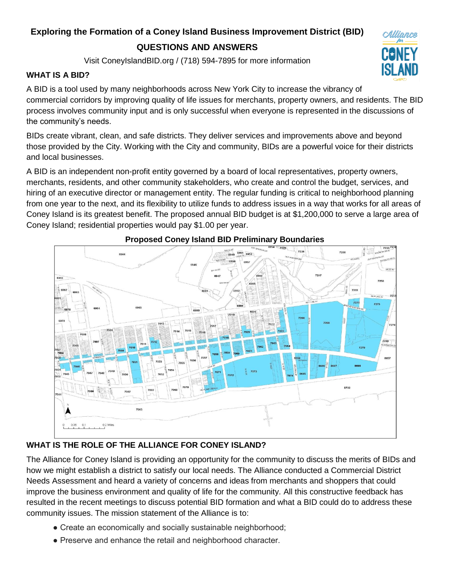# **Exploring the Formation of a Coney Island Business Improvement District (BID)**

# **QUESTIONS AND ANSWERS**

Visit ConeyIslandBID.org / (718) 594-7895 for more information

#### **WHAT IS A BID?**

A BID is a tool used by many neighborhoods across New York City to increase the vibrancy of commercial corridors by improving quality of life issues for merchants, property owners, and residents. The BID process involves community input and is only successful when everyone is represented in the discussions of the community's needs.

Alliance

BIDs create vibrant, clean, and safe districts. They deliver services and improvements above and beyond those provided by the City. Working with the City and community, BIDs are a powerful voice for their districts and local businesses.

A BID is an independent non-profit entity governed by a board of local representatives, property owners, merchants, residents, and other community stakeholders, who create and control the budget, services, and hiring of an executive director or management entity. The regular funding is critical to neighborhood planning from one year to the next, and its flexibility to utilize funds to address issues in a way that works for all areas of Coney Island is its greatest benefit. The proposed annual BID budget is at \$1,200,000 to serve a large area of Coney Island; residential properties would pay \$1.00 per year.



## **Proposed Coney Island BID Preliminary Boundaries**

## **WHAT IS THE ROLE OF THE ALLIANCE FOR CONEY ISLAND?**

The Alliance for Coney Island is providing an opportunity for the community to discuss the merits of BIDs and how we might establish a district to satisfy our local needs. The Alliance conducted a Commercial District Needs Assessment and heard a variety of concerns and ideas from merchants and shoppers that could improve the business environment and quality of life for the community. All this constructive feedback has resulted in the recent meetings to discuss potential BID formation and what a BID could do to address these community issues. The mission statement of the Alliance is to:

- Create an economically and socially sustainable neighborhood;
- Preserve and enhance the retail and neighborhood character.